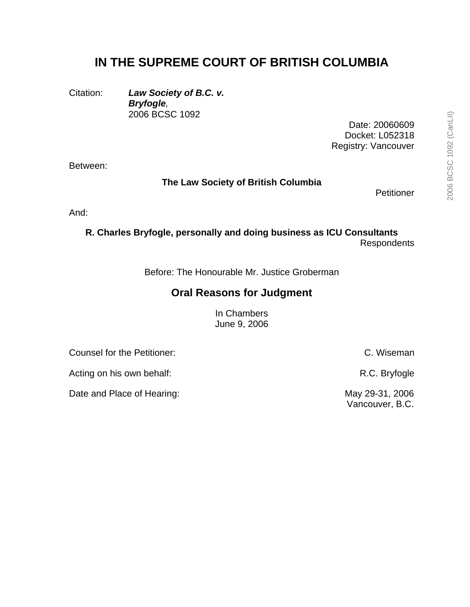## **IN THE SUPREME COURT OF BRITISH COLUMBIA**

Citation: *Law Society of B.C. v. Bryfogle,* 2006 BCSC 1092

> Date: 20060609 Docket: L052318 Registry: Vancouver

Between:

**The Law Society of British Columbia** 

**Petitioner** 

And:

**R. Charles Bryfogle, personally and doing business as ICU Consultants**  Respondents

Before: The Honourable Mr. Justice Groberman

## **Oral Reasons for Judgment**

In Chambers June 9, 2006

Counsel for the Petitioner: C. Wiseman

Acting on his own behalf: Acting on his own behalf: R.C. Bryfogle

Date and Place of Hearing: May 29-31, 2006

Vancouver, B.C.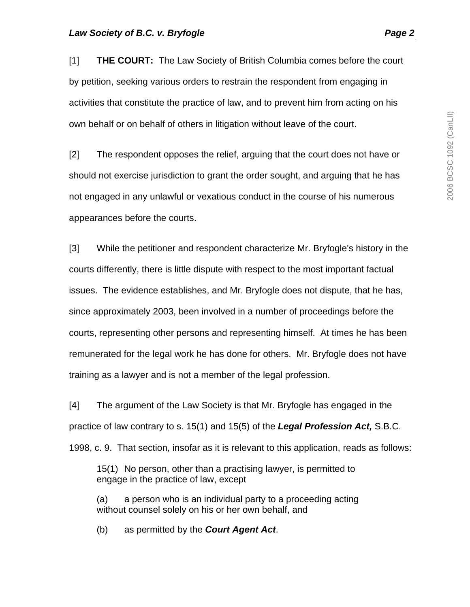[1] **THE COURT:** The Law Society of British Columbia comes before the court by petition, seeking various orders to restrain the respondent from engaging in activities that constitute the practice of law, and to prevent him from acting on his own behalf or on behalf of others in litigation without leave of the court.

[2] The respondent opposes the relief, arguing that the court does not have or should not exercise jurisdiction to grant the order sought, and arguing that he has not engaged in any unlawful or vexatious conduct in the course of his numerous appearances before the courts.

[3] While the petitioner and respondent characterize Mr. Bryfogle's history in the courts differently, there is little dispute with respect to the most important factual issues. The evidence establishes, and Mr. Bryfogle does not dispute, that he has, since approximately 2003, been involved in a number of proceedings before the courts, representing other persons and representing himself. At times he has been remunerated for the legal work he has done for others. Mr. Bryfogle does not have training as a lawyer and is not a member of the legal profession.

[4] The argument of the Law Society is that Mr. Bryfogle has engaged in the practice of law contrary to s. 15(1) and 15(5) of the *Legal Profession Act,* S.B.C. 1998, c. 9. That section, insofar as it is relevant to this application, reads as follows:

15(1) No person, other than a practising lawyer, is permitted to engage in the practice of law, except

(a) a person who is an individual party to a proceeding acting without counsel solely on his or her own behalf, and

(b) as permitted by the *Court Agent Act*.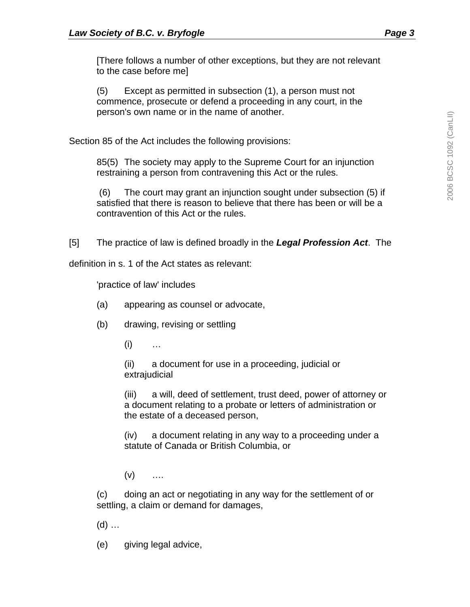[There follows a number of other exceptions, but they are not relevant to the case before me]

(5) Except as permitted in subsection (1), a person must not commence, prosecute or defend a proceeding in any court, in the person's own name or in the name of another.

Section 85 of the Act includes the following provisions:

85(5) The society may apply to the Supreme Court for an injunction restraining a person from contravening this Act or the rules.

 (6) The court may grant an injunction sought under subsection (5) if satisfied that there is reason to believe that there has been or will be a contravention of this Act or the rules.

[5] The practice of law is defined broadly in the *Legal Profession Act*. The

definition in s. 1 of the Act states as relevant:

'practice of law' includes

- (a) appearing as counsel or advocate,
- (b) drawing, revising or settling
	- $(i)$  …

 (ii) a document for use in a proceeding, judicial or extrajudicial

 (iii) a will, deed of settlement, trust deed, power of attorney or a document relating to a probate or letters of administration or the estate of a deceased person,

 (iv) a document relating in any way to a proceeding under a statute of Canada or British Columbia, or

 $(v)$  …

(c) doing an act or negotiating in any way for the settlement of or settling, a claim or demand for damages,

 $(d)$  ...

(e) giving legal advice,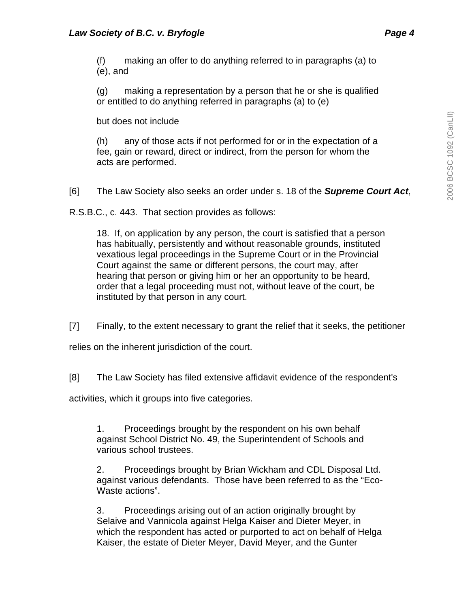(f) making an offer to do anything referred to in paragraphs (a) to (e), and

(g) making a representation by a person that he or she is qualified or entitled to do anything referred in paragraphs (a) to (e)

but does not include

(h) any of those acts if not performed for or in the expectation of a fee, gain or reward, direct or indirect, from the person for whom the acts are performed.

[6] The Law Society also seeks an order under s. 18 of the *Supreme Court Act*,

R.S.B.C., c. 443. That section provides as follows:

18. If, on application by any person, the court is satisfied that a person has habitually, persistently and without reasonable grounds, instituted vexatious legal proceedings in the Supreme Court or in the Provincial Court against the same or different persons, the court may, after hearing that person or giving him or her an opportunity to be heard, order that a legal proceeding must not, without leave of the court, be instituted by that person in any court.

[7] Finally, to the extent necessary to grant the relief that it seeks, the petitioner

relies on the inherent jurisdiction of the court.

[8] The Law Society has filed extensive affidavit evidence of the respondent's

activities, which it groups into five categories.

1. Proceedings brought by the respondent on his own behalf against School District No. 49, the Superintendent of Schools and various school trustees.

2. Proceedings brought by Brian Wickham and CDL Disposal Ltd. against various defendants. Those have been referred to as the "Eco-Waste actions".

3. Proceedings arising out of an action originally brought by Selaive and Vannicola against Helga Kaiser and Dieter Meyer, in which the respondent has acted or purported to act on behalf of Helga Kaiser, the estate of Dieter Meyer, David Meyer, and the Gunter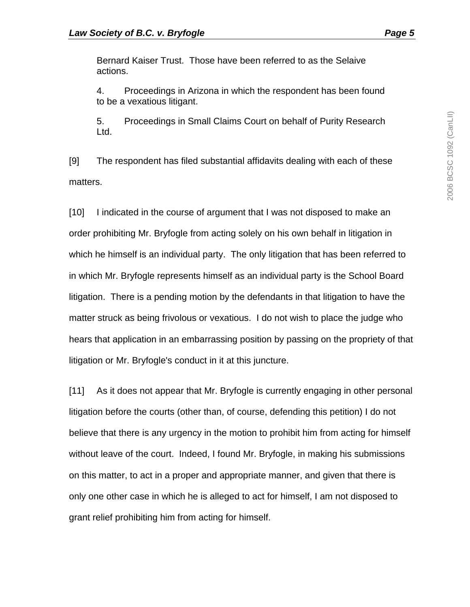Bernard Kaiser Trust. Those have been referred to as the Selaive actions.

4. Proceedings in Arizona in which the respondent has been found to be a vexatious litigant.

5. Proceedings in Small Claims Court on behalf of Purity Research Ltd.

[9] The respondent has filed substantial affidavits dealing with each of these matters.

[10] I indicated in the course of argument that I was not disposed to make an order prohibiting Mr. Bryfogle from acting solely on his own behalf in litigation in which he himself is an individual party. The only litigation that has been referred to in which Mr. Bryfogle represents himself as an individual party is the School Board litigation. There is a pending motion by the defendants in that litigation to have the matter struck as being frivolous or vexatious. I do not wish to place the judge who hears that application in an embarrassing position by passing on the propriety of that litigation or Mr. Bryfogle's conduct in it at this juncture.

[11] As it does not appear that Mr. Bryfogle is currently engaging in other personal litigation before the courts (other than, of course, defending this petition) I do not believe that there is any urgency in the motion to prohibit him from acting for himself without leave of the court. Indeed, I found Mr. Bryfogle, in making his submissions on this matter, to act in a proper and appropriate manner, and given that there is only one other case in which he is alleged to act for himself, I am not disposed to grant relief prohibiting him from acting for himself.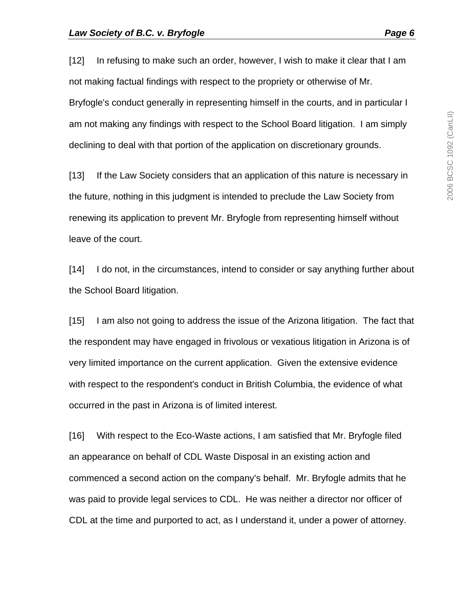[12] In refusing to make such an order, however, I wish to make it clear that I am not making factual findings with respect to the propriety or otherwise of Mr. Bryfogle's conduct generally in representing himself in the courts, and in particular I am not making any findings with respect to the School Board litigation. I am simply declining to deal with that portion of the application on discretionary grounds.

[13] If the Law Society considers that an application of this nature is necessary in the future, nothing in this judgment is intended to preclude the Law Society from renewing its application to prevent Mr. Bryfogle from representing himself without leave of the court.

[14] I do not, in the circumstances, intend to consider or say anything further about the School Board litigation.

[15] I am also not going to address the issue of the Arizona litigation. The fact that the respondent may have engaged in frivolous or vexatious litigation in Arizona is of very limited importance on the current application. Given the extensive evidence with respect to the respondent's conduct in British Columbia, the evidence of what occurred in the past in Arizona is of limited interest.

[16] With respect to the Eco-Waste actions, I am satisfied that Mr. Bryfogle filed an appearance on behalf of CDL Waste Disposal in an existing action and commenced a second action on the company's behalf. Mr. Bryfogle admits that he was paid to provide legal services to CDL. He was neither a director nor officer of CDL at the time and purported to act, as I understand it, under a power of attorney.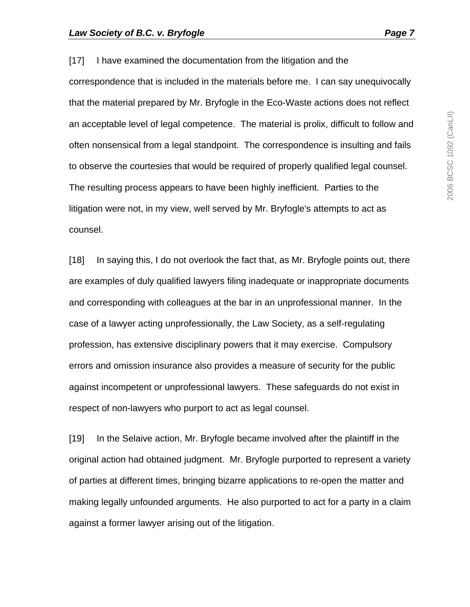[17] I have examined the documentation from the litigation and the correspondence that is included in the materials before me. I can say unequivocally that the material prepared by Mr. Bryfogle in the Eco-Waste actions does not reflect an acceptable level of legal competence. The material is prolix, difficult to follow and often nonsensical from a legal standpoint. The correspondence is insulting and fails to observe the courtesies that would be required of properly qualified legal counsel. The resulting process appears to have been highly inefficient. Parties to the litigation were not, in my view, well served by Mr. Bryfogle's attempts to act as counsel.

[18] In saying this, I do not overlook the fact that, as Mr. Bryfogle points out, there are examples of duly qualified lawyers filing inadequate or inappropriate documents and corresponding with colleagues at the bar in an unprofessional manner. In the case of a lawyer acting unprofessionally, the Law Society, as a self-regulating profession, has extensive disciplinary powers that it may exercise. Compulsory errors and omission insurance also provides a measure of security for the public against incompetent or unprofessional lawyers. These safeguards do not exist in respect of non-lawyers who purport to act as legal counsel.

[19] In the Selaive action, Mr. Bryfogle became involved after the plaintiff in the original action had obtained judgment. Mr. Bryfogle purported to represent a variety of parties at different times, bringing bizarre applications to re-open the matter and making legally unfounded arguments. He also purported to act for a party in a claim against a former lawyer arising out of the litigation.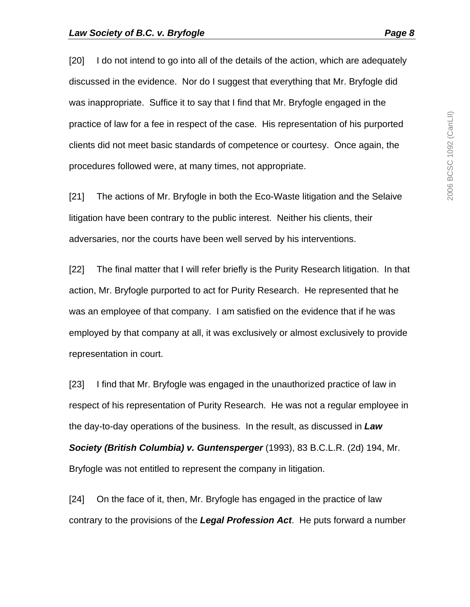[20] I do not intend to go into all of the details of the action, which are adequately discussed in the evidence. Nor do I suggest that everything that Mr. Bryfogle did was inappropriate. Suffice it to say that I find that Mr. Bryfogle engaged in the practice of law for a fee in respect of the case. His representation of his purported clients did not meet basic standards of competence or courtesy. Once again, the procedures followed were, at many times, not appropriate.

[21] The actions of Mr. Bryfogle in both the Eco-Waste litigation and the Selaive litigation have been contrary to the public interest. Neither his clients, their adversaries, nor the courts have been well served by his interventions.

[22] The final matter that I will refer briefly is the Purity Research litigation. In that action, Mr. Bryfogle purported to act for Purity Research. He represented that he was an employee of that company. I am satisfied on the evidence that if he was employed by that company at all, it was exclusively or almost exclusively to provide representation in court.

[23] I find that Mr. Bryfogle was engaged in the unauthorized practice of law in respect of his representation of Purity Research. He was not a regular employee in the day-to-day operations of the business. In the result, as discussed in *Law Society (British Columbia) v. Guntensperger* (1993), 83 B.C.L.R. (2d) 194, Mr. Bryfogle was not entitled to represent the company in litigation.

[24] On the face of it, then, Mr. Bryfogle has engaged in the practice of law contrary to the provisions of the *Legal Profession Act*. He puts forward a number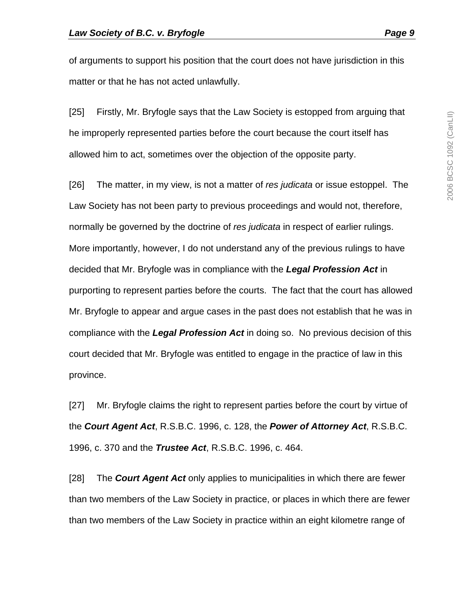of arguments to support his position that the court does not have jurisdiction in this matter or that he has not acted unlawfully.

[25] Firstly, Mr. Bryfogle says that the Law Society is estopped from arguing that he improperly represented parties before the court because the court itself has allowed him to act, sometimes over the objection of the opposite party.

[26] The matter, in my view, is not a matter of *res judicata* or issue estoppel. The Law Society has not been party to previous proceedings and would not, therefore, normally be governed by the doctrine of *res judicata* in respect of earlier rulings. More importantly, however, I do not understand any of the previous rulings to have decided that Mr. Bryfogle was in compliance with the *Legal Profession Act* in purporting to represent parties before the courts. The fact that the court has allowed Mr. Bryfogle to appear and argue cases in the past does not establish that he was in compliance with the *Legal Profession Act* in doing so. No previous decision of this court decided that Mr. Bryfogle was entitled to engage in the practice of law in this province.

[27] Mr. Bryfogle claims the right to represent parties before the court by virtue of the *Court Agent Act*, R.S.B.C. 1996, c. 128, the *Power of Attorney Act*, R.S.B.C. 1996, c. 370 and the *Trustee Act*, R.S.B.C. 1996, c. 464.

[28] The *Court Agent Act* only applies to municipalities in which there are fewer than two members of the Law Society in practice, or places in which there are fewer than two members of the Law Society in practice within an eight kilometre range of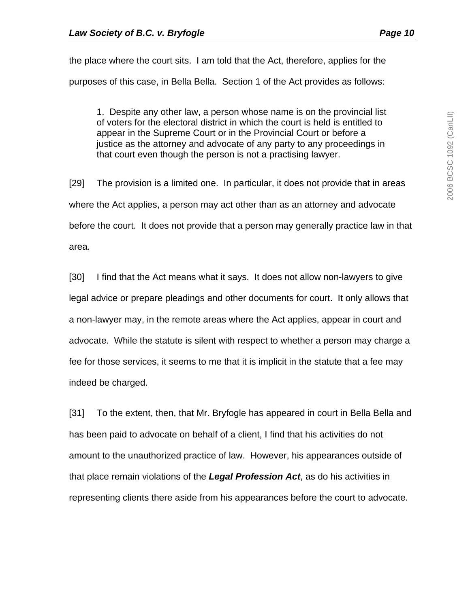the place where the court sits. I am told that the Act, therefore, applies for the purposes of this case, in Bella Bella. Section 1 of the Act provides as follows:

1. Despite any other law, a person whose name is on the provincial list of voters for the electoral district in which the court is held is entitled to appear in the Supreme Court or in the Provincial Court or before a justice as the attorney and advocate of any party to any proceedings in that court even though the person is not a practising lawyer.

[29] The provision is a limited one. In particular, it does not provide that in areas where the Act applies, a person may act other than as an attorney and advocate before the court. It does not provide that a person may generally practice law in that area.

[30] I find that the Act means what it says. It does not allow non-lawyers to give legal advice or prepare pleadings and other documents for court. It only allows that a non-lawyer may, in the remote areas where the Act applies, appear in court and advocate. While the statute is silent with respect to whether a person may charge a fee for those services, it seems to me that it is implicit in the statute that a fee may indeed be charged.

[31] To the extent, then, that Mr. Bryfogle has appeared in court in Bella Bella and has been paid to advocate on behalf of a client, I find that his activities do not amount to the unauthorized practice of law. However, his appearances outside of that place remain violations of the *Legal Profession Act*, as do his activities in representing clients there aside from his appearances before the court to advocate.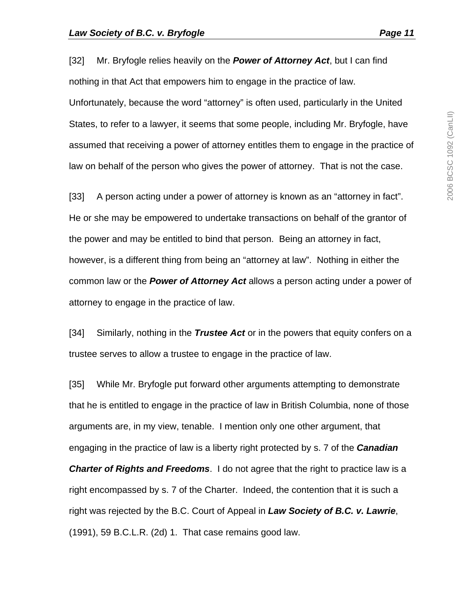[32] Mr. Bryfogle relies heavily on the *Power of Attorney Act*, but I can find nothing in that Act that empowers him to engage in the practice of law. Unfortunately, because the word "attorney" is often used, particularly in the United States, to refer to a lawyer, it seems that some people, including Mr. Bryfogle, have assumed that receiving a power of attorney entitles them to engage in the practice of law on behalf of the person who gives the power of attorney. That is not the case.

[33] A person acting under a power of attorney is known as an "attorney in fact". He or she may be empowered to undertake transactions on behalf of the grantor of the power and may be entitled to bind that person. Being an attorney in fact, however, is a different thing from being an "attorney at law". Nothing in either the common law or the *Power of Attorney Act* allows a person acting under a power of attorney to engage in the practice of law.

[34] Similarly, nothing in the *Trustee Act* or in the powers that equity confers on a trustee serves to allow a trustee to engage in the practice of law.

[35] While Mr. Bryfogle put forward other arguments attempting to demonstrate that he is entitled to engage in the practice of law in British Columbia, none of those arguments are, in my view, tenable. I mention only one other argument, that engaging in the practice of law is a liberty right protected by s. 7 of the *Canadian Charter of Rights and Freedoms*. I do not agree that the right to practice law is a right encompassed by s. 7 of the Charter. Indeed, the contention that it is such a right was rejected by the B.C. Court of Appeal in *Law Society of B.C. v. Lawrie*, (1991), 59 B.C.L.R. (2d) 1. That case remains good law.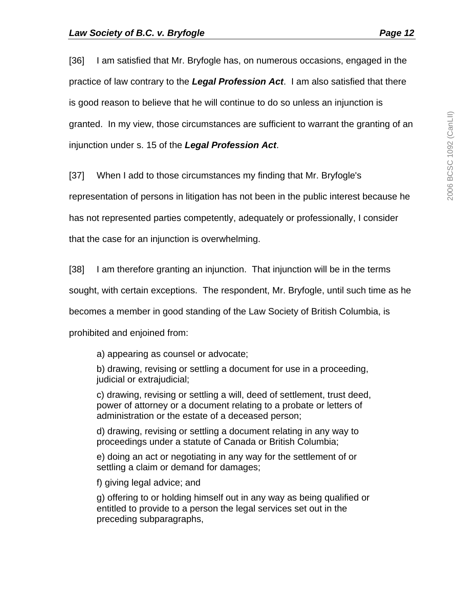[36] I am satisfied that Mr. Bryfogle has, on numerous occasions, engaged in the practice of law contrary to the *Legal Profession Act*. I am also satisfied that there is good reason to believe that he will continue to do so unless an injunction is granted. In my view, those circumstances are sufficient to warrant the granting of an injunction under s. 15 of the *Legal Profession Act*.

[37] When I add to those circumstances my finding that Mr. Bryfogle's

representation of persons in litigation has not been in the public interest because he

has not represented parties competently, adequately or professionally, I consider

that the case for an injunction is overwhelming.

[38] I am therefore granting an injunction. That injunction will be in the terms

sought, with certain exceptions. The respondent, Mr. Bryfogle, until such time as he

becomes a member in good standing of the Law Society of British Columbia, is

prohibited and enjoined from:

a) appearing as counsel or advocate;

b) drawing, revising or settling a document for use in a proceeding, judicial or extrajudicial;

c) drawing, revising or settling a will, deed of settlement, trust deed, power of attorney or a document relating to a probate or letters of administration or the estate of a deceased person;

d) drawing, revising or settling a document relating in any way to proceedings under a statute of Canada or British Columbia;

e) doing an act or negotiating in any way for the settlement of or settling a claim or demand for damages;

f) giving legal advice; and

g) offering to or holding himself out in any way as being qualified or entitled to provide to a person the legal services set out in the preceding subparagraphs,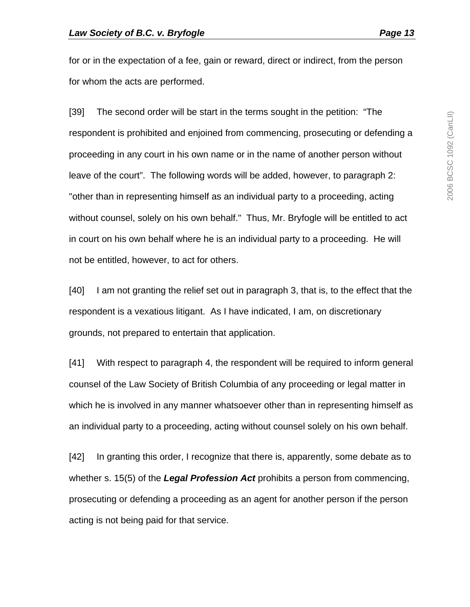for or in the expectation of a fee, gain or reward, direct or indirect, from the person for whom the acts are performed.

[39] The second order will be start in the terms sought in the petition: "The respondent is prohibited and enjoined from commencing, prosecuting or defending a proceeding in any court in his own name or in the name of another person without leave of the court". The following words will be added, however, to paragraph 2: "other than in representing himself as an individual party to a proceeding, acting without counsel, solely on his own behalf." Thus, Mr. Bryfogle will be entitled to act in court on his own behalf where he is an individual party to a proceeding. He will not be entitled, however, to act for others.

[40] I am not granting the relief set out in paragraph 3, that is, to the effect that the respondent is a vexatious litigant. As I have indicated, I am, on discretionary grounds, not prepared to entertain that application.

[41] With respect to paragraph 4, the respondent will be required to inform general counsel of the Law Society of British Columbia of any proceeding or legal matter in which he is involved in any manner whatsoever other than in representing himself as an individual party to a proceeding, acting without counsel solely on his own behalf.

[42] In granting this order, I recognize that there is, apparently, some debate as to whether s. 15(5) of the *Legal Profession Act* prohibits a person from commencing, prosecuting or defending a proceeding as an agent for another person if the person acting is not being paid for that service.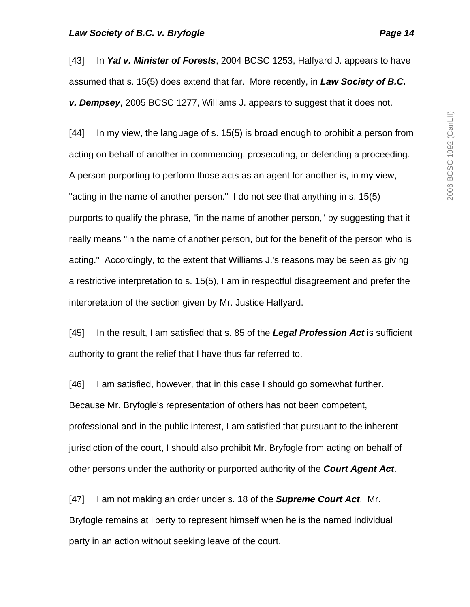[43] In *Yal v. Minister of Forests*, 2004 BCSC 1253, Halfyard J. appears to have assumed that s. 15(5) does extend that far. More recently, in *Law Society of B.C. v. Dempsey*, 2005 BCSC 1277, Williams J. appears to suggest that it does not.

[44] In my view, the language of s. 15(5) is broad enough to prohibit a person from acting on behalf of another in commencing, prosecuting, or defending a proceeding. A person purporting to perform those acts as an agent for another is, in my view, "acting in the name of another person." I do not see that anything in s. 15(5) purports to qualify the phrase, "in the name of another person," by suggesting that it really means "in the name of another person, but for the benefit of the person who is acting." Accordingly, to the extent that Williams J.'s reasons may be seen as giving a restrictive interpretation to s. 15(5), I am in respectful disagreement and prefer the interpretation of the section given by Mr. Justice Halfyard.

[45] In the result, I am satisfied that s. 85 of the *Legal Profession Act* is sufficient authority to grant the relief that I have thus far referred to.

[46] I am satisfied, however, that in this case I should go somewhat further. Because Mr. Bryfogle's representation of others has not been competent, professional and in the public interest, I am satisfied that pursuant to the inherent jurisdiction of the court, I should also prohibit Mr. Bryfogle from acting on behalf of other persons under the authority or purported authority of the *Court Agent Act*.

[47] I am not making an order under s. 18 of the *Supreme Court Act*. Mr. Bryfogle remains at liberty to represent himself when he is the named individual party in an action without seeking leave of the court.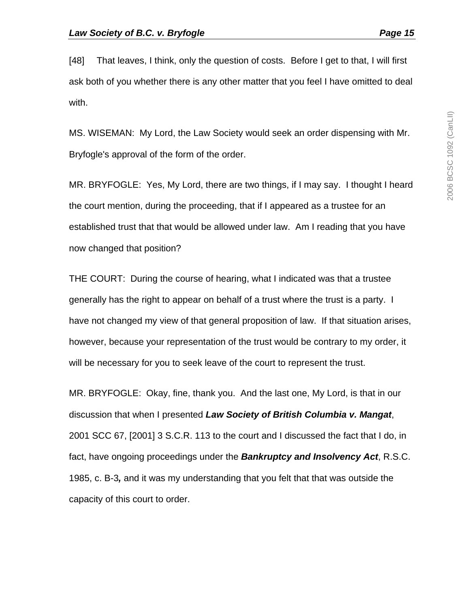[48] That leaves, I think, only the question of costs. Before I get to that, I will first ask both of you whether there is any other matter that you feel I have omitted to deal with.

MS. WISEMAN: My Lord, the Law Society would seek an order dispensing with Mr. Bryfogle's approval of the form of the order.

MR. BRYFOGLE: Yes, My Lord, there are two things, if I may say. I thought I heard the court mention, during the proceeding, that if I appeared as a trustee for an established trust that that would be allowed under law. Am I reading that you have now changed that position?

THE COURT: During the course of hearing, what I indicated was that a trustee generally has the right to appear on behalf of a trust where the trust is a party. I have not changed my view of that general proposition of law. If that situation arises, however, because your representation of the trust would be contrary to my order, it will be necessary for you to seek leave of the court to represent the trust.

MR. BRYFOGLE: Okay, fine, thank you. And the last one, My Lord, is that in our discussion that when I presented *Law Society of British Columbia v. Mangat*, 2001 SCC 67, [2001] 3 S.C.R. 113 to the court and I discussed the fact that I do, in fact, have ongoing proceedings under the *Bankruptcy and Insolvency Act*, R.S.C. 1985, c. B-3*,* and it was my understanding that you felt that that was outside the capacity of this court to order.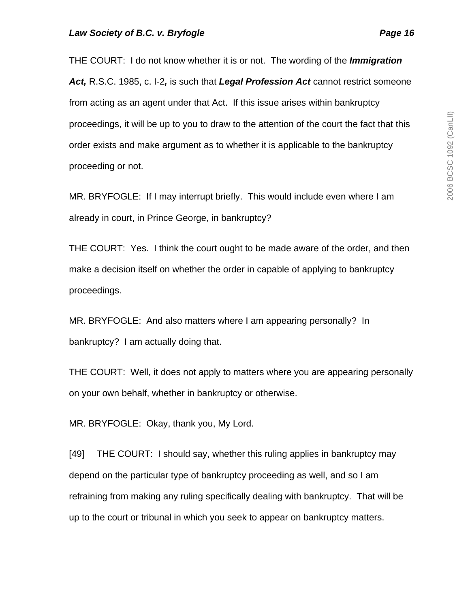THE COURT: I do not know whether it is or not. The wording of the *Immigration Act,* R.S.C. 1985, c. I-2*,* is such that *Legal Profession Act* cannot restrict someone from acting as an agent under that Act. If this issue arises within bankruptcy proceedings, it will be up to you to draw to the attention of the court the fact that this order exists and make argument as to whether it is applicable to the bankruptcy proceeding or not.

MR. BRYFOGLE: If I may interrupt briefly. This would include even where I am already in court, in Prince George, in bankruptcy?

THE COURT: Yes. I think the court ought to be made aware of the order, and then make a decision itself on whether the order in capable of applying to bankruptcy proceedings.

MR. BRYFOGLE: And also matters where I am appearing personally? In bankruptcy? I am actually doing that.

THE COURT: Well, it does not apply to matters where you are appearing personally on your own behalf, whether in bankruptcy or otherwise.

MR. BRYFOGLE: Okay, thank you, My Lord.

[49] THE COURT: I should say, whether this ruling applies in bankruptcy may depend on the particular type of bankruptcy proceeding as well, and so I am refraining from making any ruling specifically dealing with bankruptcy. That will be up to the court or tribunal in which you seek to appear on bankruptcy matters.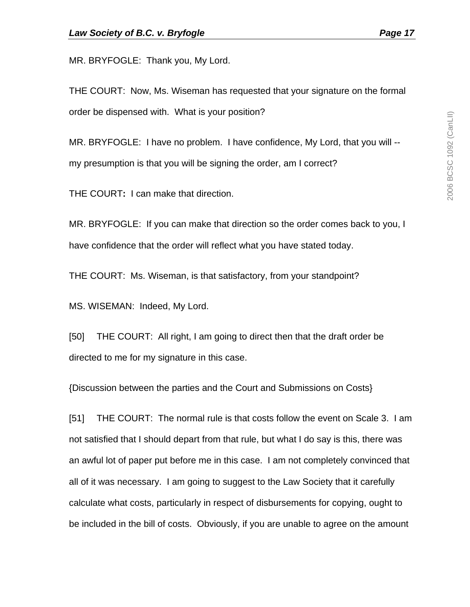MR. BRYFOGLE: Thank you, My Lord.

THE COURT: Now, Ms. Wiseman has requested that your signature on the formal order be dispensed with. What is your position?

MR. BRYFOGLE: I have no problem. I have confidence, My Lord, that you will - my presumption is that you will be signing the order, am I correct?

THE COURT**:** I can make that direction.

MR. BRYFOGLE: If you can make that direction so the order comes back to you, I have confidence that the order will reflect what you have stated today.

THE COURT: Ms. Wiseman, is that satisfactory, from your standpoint?

MS. WISEMAN: Indeed, My Lord.

[50] THE COURT: All right, I am going to direct then that the draft order be directed to me for my signature in this case.

{Discussion between the parties and the Court and Submissions on Costs}

[51] THE COURT: The normal rule is that costs follow the event on Scale 3. I am not satisfied that I should depart from that rule, but what I do say is this, there was an awful lot of paper put before me in this case. I am not completely convinced that all of it was necessary. I am going to suggest to the Law Society that it carefully calculate what costs, particularly in respect of disbursements for copying, ought to be included in the bill of costs. Obviously, if you are unable to agree on the amount